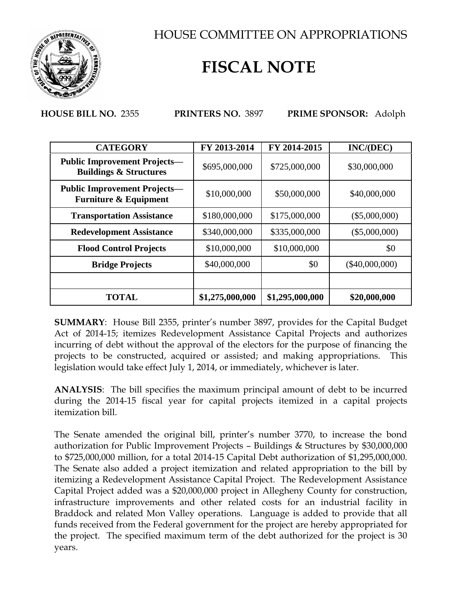

HOUSE COMMITTEE ON APPROPRIATIONS

## **FISCAL NOTE**

**HOUSE BILL NO.** 2355 **PRINTERS NO.** 3897 **PRIME SPONSOR:** Adolph

| <b>CATEGORY</b>                                                          | FY 2013-2014    | FY 2014-2015    | INC/(DEC)        |
|--------------------------------------------------------------------------|-----------------|-----------------|------------------|
| <b>Public Improvement Projects–</b><br><b>Buildings &amp; Structures</b> | \$695,000,000   | \$725,000,000   | \$30,000,000     |
| <b>Public Improvement Projects—</b><br><b>Furniture &amp; Equipment</b>  | \$10,000,000    | \$50,000,000    | \$40,000,000     |
| <b>Transportation Assistance</b>                                         | \$180,000,000   | \$175,000,000   | $(\$5,000,000)$  |
| <b>Redevelopment Assistance</b>                                          | \$340,000,000   | \$335,000,000   | $(\$5,000,000)$  |
| <b>Flood Control Projects</b>                                            | \$10,000,000    | \$10,000,000    | \$0              |
| <b>Bridge Projects</b>                                                   | \$40,000,000    | \$0             | $(\$40,000,000)$ |
|                                                                          |                 |                 |                  |
| <b>TOTAL</b>                                                             | \$1,275,000,000 | \$1,295,000,000 | \$20,000,000     |

**SUMMARY**: House Bill 2355, printer's number 3897, provides for the Capital Budget Act of 2014-15; itemizes Redevelopment Assistance Capital Projects and authorizes incurring of debt without the approval of the electors for the purpose of financing the projects to be constructed, acquired or assisted; and making appropriations. This legislation would take effect July 1, 2014, or immediately, whichever is later.

**ANALYSIS**: The bill specifies the maximum principal amount of debt to be incurred during the 2014-15 fiscal year for capital projects itemized in a capital projects itemization bill.

The Senate amended the original bill, printer's number 3770, to increase the bond authorization for Public Improvement Projects – Buildings & Structures by \$30,000,000 to \$725,000,000 million, for a total 2014-15 Capital Debt authorization of \$1,295,000,000. The Senate also added a project itemization and related appropriation to the bill by itemizing a Redevelopment Assistance Capital Project. The Redevelopment Assistance Capital Project added was a \$20,000,000 project in Allegheny County for construction, infrastructure improvements and other related costs for an industrial facility in Braddock and related Mon Valley operations. Language is added to provide that all funds received from the Federal government for the project are hereby appropriated for the project. The specified maximum term of the debt authorized for the project is 30 years.